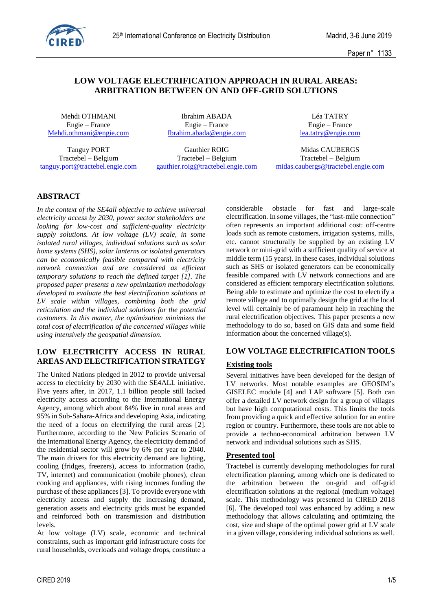

Paper n° 1133

## **LOW VOLTAGE ELECTRIFICATION APPROACH IN RURAL AREAS: ARBITRATION BETWEEN ON AND OFF-GRID SOLUTIONS**

Mehdi OTHMANI **Ibrahim ABADA** Léa TATRY [Mehdi.othmani@engie.com](mailto:Mehdi.othmani@engie.com) [Ibrahim.abada@engie.com](mailto:Ibrahim.abada@engie.com) [lea.tatry@engie.com](mailto:lea.tatry@engie.com)

Engie – France Engie – France Engie – France

Tanguy PORT Gauthier ROIG Midas CAUBERGS Tractebel – Belgium Tractebel – Belgium Tractebel – Belgium

[tanguy.port@tractebel.engie.com](mailto:tanguy.port@tractebel.engie.com) [gauthier.roig@tractebel.engie.com](mailto:gauthier.roig@tractebel.engie.com) [midas.caubergs@tractebel.engie.com](mailto:midas.caubergs@tractebel.engie.com)

# **ABSTRACT**

*In the context of the SE4all objective to achieve universal electricity access by 2030, power sector stakeholders are looking for low-cost and sufficient-quality electricity supply solutions. At low voltage (LV) scale, in some isolated rural villages, individual solutions such as solar home systems (SHS), solar lanterns or isolated generators can be economically feasible compared with electricity network connection and are considered as efficient temporary solutions to reach the defined target [1]. The proposed paper presents a new optimization methodology developed to evaluate the best electrification solutions at LV scale within villages, combining both the grid reticulation and the individual solutions for the potential customers. In this matter, the optimization minimizes the total cost of electrification of the concerned villages while using intensively the geospatial dimension.*

## **LOW ELECTRICITY ACCESS IN RURAL AREAS AND ELECTRIFICATION STRATEGY**

The United Nations pledged in 2012 to provide universal access to electricity by 2030 with the SE4ALL initiative. Five years after, in 2017, 1.1 billion people still lacked electricity access according to the International Energy Agency, among which about 84% live in rural areas and 95% in Sub-Sahara-Africa and developing Asia, indicating the need of a focus on electrifying the rural areas [2]. Furthermore, according to the New Policies Scenario of the International Energy Agency, the electricity demand of the residential sector will grow by 6% per year to 2040. The main drivers for this electricity demand are lighting, cooling (fridges, freezers), access to information (radio, TV, internet) and communication (mobile phones), clean cooking and appliances, with rising incomes funding the purchase of these appliances [3]. To provide everyone with electricity access and supply the increasing demand, generation assets and electricity grids must be expanded and reinforced both on transmission and distribution levels.

At low voltage (LV) scale, economic and technical constraints, such as important grid infrastructure costs for rural households, overloads and voltage drops, constitute a

considerable obstacle for fast and large-scale electrification. In some villages, the "last-mile connection" often represents an important additional cost: off-centre loads such as remote customers, irrigation systems, mills, etc. cannot structurally be supplied by an existing LV network or mini-grid with a sufficient quality of service at middle term (15 years). In these cases, individual solutions such as SHS or isolated generators can be economically feasible compared with LV network connections and are considered as efficient temporary electrification solutions. Being able to estimate and optimize the cost to electrify a remote village and to optimally design the grid at the local level will certainly be of paramount help in reaching the rural electrification objectives. This paper presents a new methodology to do so, based on GIS data and some field information about the concerned village(s).

## **LOW VOLTAGE ELECTRIFICATION TOOLS**

## **Existing tools**

Several initiatives have been developed for the design of LV networks. Most notable examples are GEOSIM's GISELEC module [4] and LAP software [5]. Both can offer a detailed LV network design for a group of villages but have high computational costs. This limits the tools from providing a quick and effective solution for an entire region or country. Furthermore, these tools are not able to provide a techno-economical arbitration between LV network and individual solutions such as SHS.

## **Presented tool**

Tractebel is currently developing methodologies for rural electrification planning, among which one is dedicated to the arbitration between the on-grid and off-grid electrification solutions at the regional (medium voltage) scale. This methodology was presented in CIRED 2018 [6]. The developed tool was enhanced by adding a new methodology that allows calculating and optimizing the cost, size and shape of the optimal power grid at LV scale in a given village, considering individual solutions as well.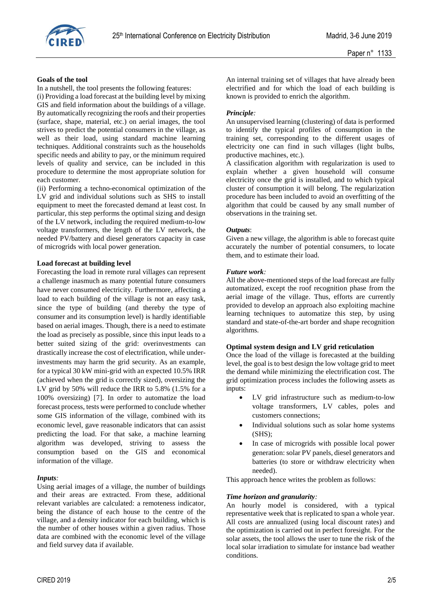

#### **Goals of the tool**

In a nutshell, the tool presents the following features:

(i) Providing a load forecast at the building level by mixing GIS and field information about the buildings of a village. By automatically recognizing the roofs and their properties (surface, shape, material, etc.) on aerial images, the tool strives to predict the potential consumers in the village, as well as their load, using standard machine learning techniques. Additional constraints such as the households specific needs and ability to pay, or the minimum required levels of quality and service, can be included in this procedure to determine the most appropriate solution for each customer.

(ii) Performing a techno-economical optimization of the LV grid and individual solutions such as SHS to install equipment to meet the forecasted demand at least cost. In particular, this step performs the optimal sizing and design of the LV network, including the required medium-to-low voltage transformers, the length of the LV network, the needed PV/battery and diesel generators capacity in case of microgrids with local power generation.

### **Load forecast at building level**

Forecasting the load in remote rural villages can represent a challenge inasmuch as many potential future consumers have never consumed electricity. Furthermore, affecting a load to each building of the village is not an easy task, since the type of building (and thereby the type of consumer and its consumption level) is hardly identifiable based on aerial images. Though, there is a need to estimate the load as precisely as possible, since this input leads to a better suited sizing of the grid: overinvestments can drastically increase the cost of electrification, while underinvestments may harm the grid security. As an example, for a typical 30 kW mini-grid with an expected 10.5% IRR (achieved when the grid is correctly sized), oversizing the LV grid by 50% will reduce the IRR to 5.8% (1.5% for a 100% oversizing) [7]. In order to automatize the load forecast process, tests were performed to conclude whether some GIS information of the village, combined with its economic level, gave reasonable indicators that can assist predicting the load. For that sake, a machine learning algorithm was developed, striving to assess the consumption based on the GIS and economical information of the village.

## *Inputs:*

Using aerial images of a village, the number of buildings and their areas are extracted. From these, additional relevant variables are calculated: a remoteness indicator, being the distance of each house to the centre of the village, and a density indicator for each building, which is the number of other houses within a given radius. Those data are combined with the economic level of the village and field survey data if available.

An internal training set of villages that have already been electrified and for which the load of each building is known is provided to enrich the algorithm.

## *Principle:*

An unsupervised learning (clustering) of data is performed to identify the typical profiles of consumption in the training set, corresponding to the different usages of electricity one can find in such villages (light bulbs, productive machines, etc.).

A classification algorithm with regularization is used to explain whether a given household will consume electricity once the grid is installed, and to which typical cluster of consumption it will belong. The regularization procedure has been included to avoid an overfitting of the algorithm that could be caused by any small number of observations in the training set.

### *Outputs*:

Given a new village, the algorithm is able to forecast quite accurately the number of potential consumers, to locate them, and to estimate their load.

### *Future work:*

All the above-mentioned steps of the load forecast are fully automatized, except the roof recognition phase from the aerial image of the village. Thus, efforts are currently provided to develop an approach also exploiting machine learning techniques to automatize this step, by using standard and state-of-the-art border and shape recognition algorithms.

### **Optimal system design and LV grid reticulation**

Once the load of the village is forecasted at the building level, the goal is to best design the low voltage grid to meet the demand while minimizing the electrification cost. The grid optimization process includes the following assets as inputs:

- LV grid infrastructure such as medium-to-low voltage transformers, LV cables, poles and customers connections;
- Individual solutions such as solar home systems (SHS);
- In case of microgrids with possible local power generation: solar PV panels, diesel generators and batteries (to store or withdraw electricity when needed).

This approach hence writes the problem as follows:

## *Time horizon and granularity:*

An hourly model is considered, with a typical representative week that is replicated to span a whole year. All costs are annualized (using local discount rates) and the optimization is carried out in perfect foresight. For the solar assets, the tool allows the user to tune the risk of the local solar irradiation to simulate for instance bad weather conditions.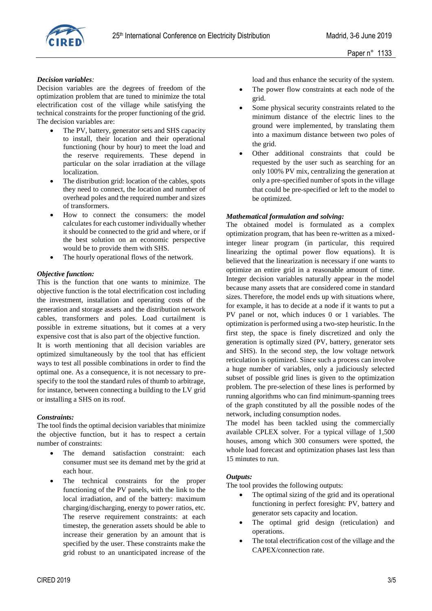

### *Decision variables:*

Decision variables are the degrees of freedom of the optimization problem that are tuned to minimize the total electrification cost of the village while satisfying the technical constraints for the proper functioning of the grid. The decision variables are:

- The PV, battery, generator sets and SHS capacity to install, their location and their operational functioning (hour by hour) to meet the load and the reserve requirements. These depend in particular on the solar irradiation at the village localization.
- The distribution grid: location of the cables, spots they need to connect, the location and number of overhead poles and the required number and sizes of transformers.
- How to connect the consumers: the model calculates for each customer individually whether it should be connected to the grid and where, or if the best solution on an economic perspective would be to provide them with SHS.
- The hourly operational flows of the network.

### *Objective function:*

This is the function that one wants to minimize. The objective function is the total electrification cost including the investment, installation and operating costs of the generation and storage assets and the distribution network cables, transformers and poles. Load curtailment is possible in extreme situations, but it comes at a very expensive cost that is also part of the objective function.

It is worth mentioning that all decision variables are optimized simultaneously by the tool that has efficient ways to test all possible combinations in order to find the optimal one. As a consequence, it is not necessary to prespecify to the tool the standard rules of thumb to arbitrage, for instance, between connecting a building to the LV grid or installing a SHS on its roof.

#### *Constraints:*

The tool finds the optimal decision variables that minimize the objective function, but it has to respect a certain number of constraints:

- The demand satisfaction constraint: each consumer must see its demand met by the grid at each hour.
- The technical constraints for the proper functioning of the PV panels, with the link to the local irradiation, and of the battery: maximum charging/discharging, energy to power ratios, etc. The reserve requirement constraints: at each timestep, the generation assets should be able to increase their generation by an amount that is specified by the user. These constraints make the grid robust to an unanticipated increase of the

load and thus enhance the security of the system.

- The power flow constraints at each node of the grid.
- Some physical security constraints related to the minimum distance of the electric lines to the ground were implemented, by translating them into a maximum distance between two poles of the grid.
- Other additional constraints that could be requested by the user such as searching for an only 100% PV mix, centralizing the generation at only a pre-specified number of spots in the village that could be pre-specified or left to the model to be optimized.

#### *Mathematical formulation and solving:*

The obtained model is formulated as a complex optimization program, that has been re-written as a mixedinteger linear program (in particular, this required linearizing the optimal power flow equations). It is believed that the linearization is necessary if one wants to optimize an entire grid in a reasonable amount of time. Integer decision variables naturally appear in the model because many assets that are considered come in standard sizes. Therefore, the model ends up with situations where, for example, it has to decide at a node if it wants to put a PV panel or not, which induces 0 or 1 variables. The optimization is performed using a two-step heuristic. In the first step, the space is finely discretized and only the generation is optimally sized (PV, battery, generator sets and SHS). In the second step, the low voltage network reticulation is optimized. Since such a process can involve a huge number of variables, only a judiciously selected subset of possible grid lines is given to the optimization problem. The pre-selection of these lines is performed by running algorithms who can find minimum-spanning trees of the graph constituted by all the possible nodes of the network, including consumption nodes.

The model has been tackled using the commercially available CPLEX solver. For a typical village of 1,500 houses, among which 300 consumers were spotted, the whole load forecast and optimization phases last less than 15 minutes to run.

#### *Outputs:*

The tool provides the following outputs:

- The optimal sizing of the grid and its operational functioning in perfect foresight: PV, battery and generator sets capacity and location.
- The optimal grid design (reticulation) and operations.
- The total electrification cost of the village and the CAPEX/connection rate.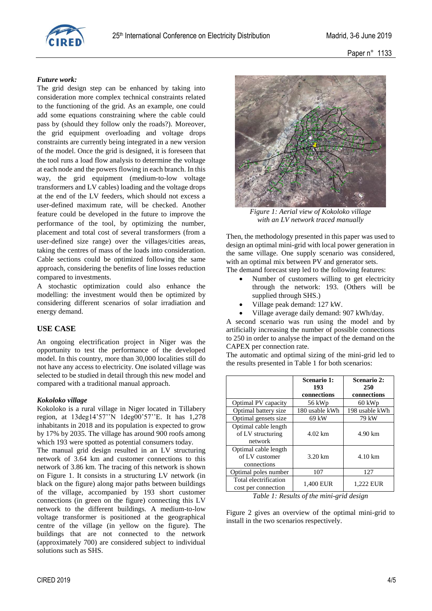

Paper n° 1133

## *Future work:*

The grid design step can be enhanced by taking into consideration more complex technical constraints related to the functioning of the grid. As an example, one could add some equations constraining where the cable could pass by (should they follow only the roads?). Moreover, the grid equipment overloading and voltage drops constraints are currently being integrated in a new version of the model. Once the grid is designed, it is foreseen that the tool runs a load flow analysis to determine the voltage at each node and the powers flowing in each branch. In this way, the grid equipment (medium-to-low voltage transformers and LV cables) loading and the voltage drops at the end of the LV feeders, which should not excess a user-defined maximum rate, will be checked. Another feature could be developed in the future to improve the performance of the tool, by optimizing the number, placement and total cost of several transformers (from a user-defined size range) over the villages/cities areas, taking the centres of mass of the loads into consideration. Cable sections could be optimized following the same approach, considering the benefits of line losses reduction compared to investments.

A stochastic optimization could also enhance the modelling: the investment would then be optimized by considering different scenarios of solar irradiation and energy demand.

## **USE CASE**

An ongoing electrification project in Niger was the opportunity to test the performance of the developed model. In this country, more than 30,000 localities still do not have any access to electricity. One isolated village was selected to be studied in detail through this new model and compared with a traditional manual approach.

#### *Kokoloko village*

Kokoloko is a rural village in Niger located in Tillabery region, at 13deg14'57''N 1deg00'57''E. It has 1,278 inhabitants in 2018 and its population is expected to grow by 17% by 2035. The village has around 900 roofs among which 193 were spotted as potential consumers today.

The manual grid design resulted in an LV structuring network of 3.64 km and customer connections to this network of 3.86 km. The tracing of this network is shown on Figure 1. It consists in a structuring LV network (in black on the figure) along major paths between buildings of the village, accompanied by 193 short customer connections (in green on the figure) connecting this LV network to the different buildings. A medium-to-low voltage transformer is positioned at the geographical centre of the village (in yellow on the figure). The buildings that are not connected to the network (approximately 700) are considered subject to individual solutions such as SHS.



*Figure 1: Aerial view of Kokoloko village with an LV network traced manually*

Then, the methodology presented in this paper was used to design an optimal mini-grid with local power generation in the same village. One supply scenario was considered, with an optimal mix between PV and generator sets.

The demand forecast step led to the following features:

- Number of customers willing to get electricity through the network: 193. (Others will be supplied through SHS.)
- Village peak demand: 127 kW.
- Village average daily demand: 907 kWh/day.

A second scenario was run using the model and by artificially increasing the number of possible connections to 250 in order to analyse the impact of the demand on the CAPEX per connection rate.

The automatic and optimal sizing of the mini-grid led to the results presented in Table 1 for both scenarios:

|                                                       | Scenario 1:<br>193 | Scenario 2:<br>250 |
|-------------------------------------------------------|--------------------|--------------------|
|                                                       | connections        | connections        |
| Optimal PV capacity                                   | 56 kWp             | $60$ kWp           |
| Optimal battery size                                  | 180 usable kWh     | 198 usable kWh     |
| Optimal gensets size                                  | 69 kW              | 79 kW              |
| Optimal cable length<br>of LV structuring<br>network  | $4.02 \text{ km}$  | 4.90 km            |
| Optimal cable length<br>of LV customer<br>connections | $3.20 \text{ km}$  | $4.10 \text{ km}$  |
| Optimal poles number                                  | 107                | 127                |
| Total electrification<br>cost per connection          | 1.400 EUR          | 1,222 EUR          |

*Table 1: Results of the mini-grid design*

Figure 2 gives an overview of the optimal mini-grid to install in the two scenarios respectively.